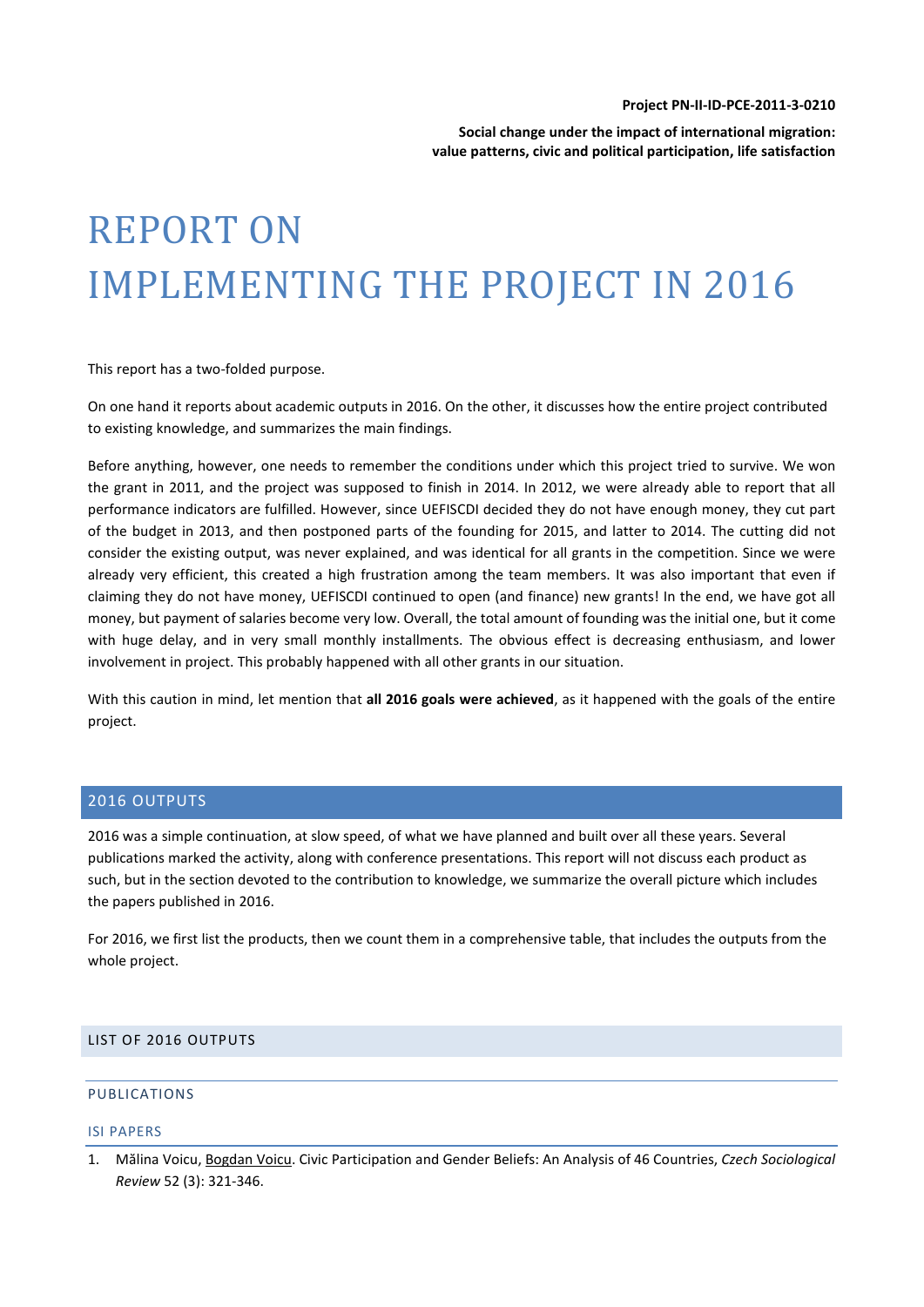#### **Project PN-II-ID-PCE-2011-3-0210**

**Social change under the impact of international migration: value patterns, civic and political participation, life satisfaction**

# REPORT ON IMPLEMENTING THE PROJECT IN 2016

This report has a two-folded purpose.

On one hand it reports about academic outputs in 2016. On the other, it discusses how the entire project contributed to existing knowledge, and summarizes the main findings.

Before anything, however, one needs to remember the conditions under which this project tried to survive. We won the grant in 2011, and the project was supposed to finish in 2014. In 2012, we were already able to report that all performance indicators are fulfilled. However, since UEFISCDI decided they do not have enough money, they cut part of the budget in 2013, and then postponed parts of the founding for 2015, and latter to 2014. The cutting did not consider the existing output, was never explained, and was identical for all grants in the competition. Since we were already very efficient, this created a high frustration among the team members. It was also important that even if claiming they do not have money, UEFISCDI continued to open (and finance) new grants! In the end, we have got all money, but payment of salaries become very low. Overall, the total amount of founding was the initial one, but it come with huge delay, and in very small monthly installments. The obvious effect is decreasing enthusiasm, and lower involvement in project. This probably happened with all other grants in our situation.

With this caution in mind, let mention that **all 2016 goals were achieved**, as it happened with the goals of the entire project.

## 2016 OUTPUTS

2016 was a simple continuation, at slow speed, of what we have planned and built over all these years. Several publications marked the activity, along with conference presentations. This report will not discuss each product as such, but in the section devoted to the contribution to knowledge, we summarize the overall picture which includes the papers published in 2016.

For 2016, we first list the products, then we count them in a comprehensive table, that includes the outputs from the whole project.

#### LIST OF 2016 OUTPUTS

## PUBLICATIONS

#### ISI PAPERS

<sup>1.</sup> Mălina Voicu, Bogdan Voicu. Civic Participation and Gender Beliefs: An Analysis of 46 Countries, *Czech Sociological Review* 52 (3): 321-346.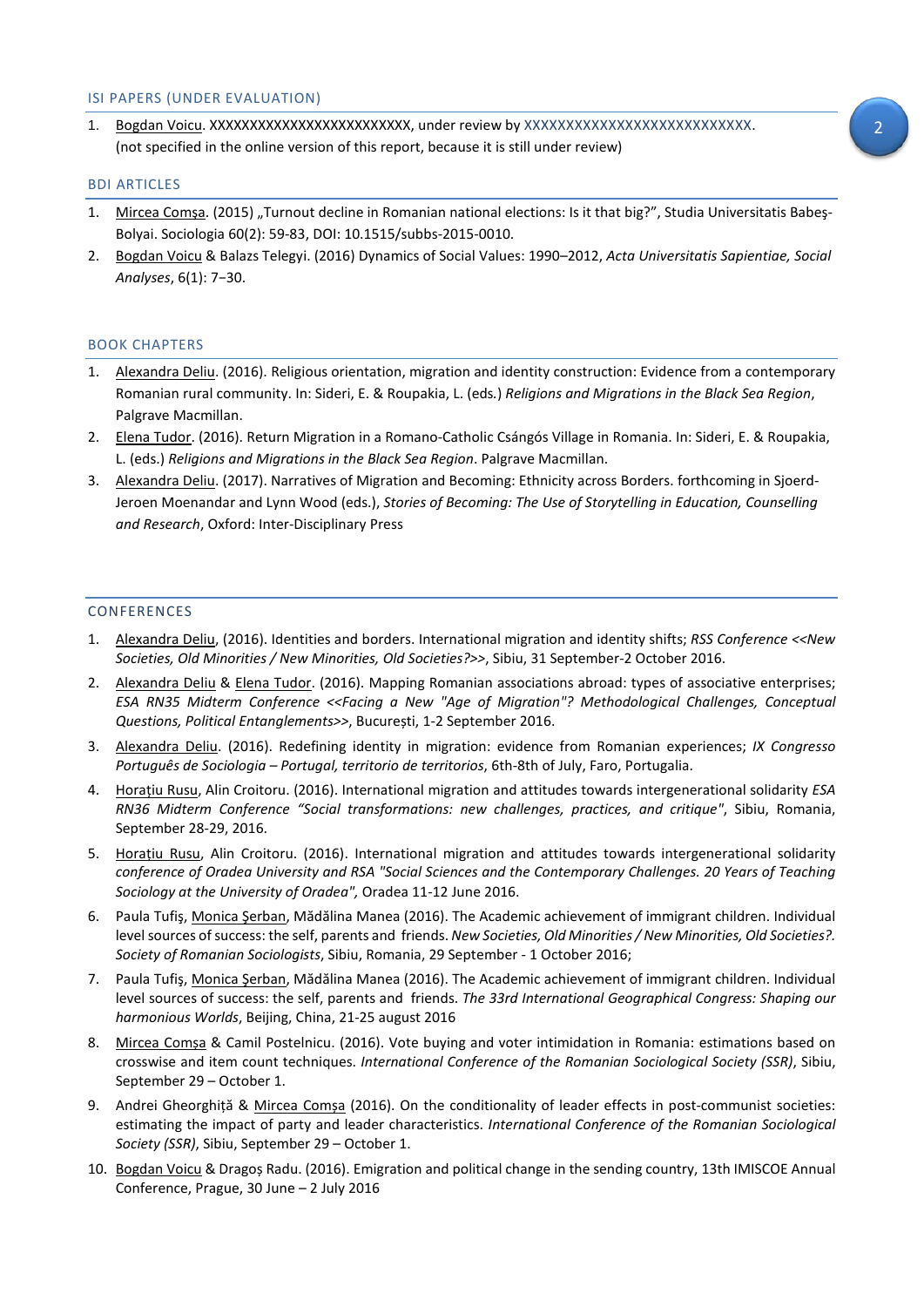### ISI PAPERS (UNDER EVALUATION)

1. Bogdan Voicu. XXXXXXXXXXXXXXXXXXXXXXXXX, under review by XXXXXXXXXXXXXXXXXXXXXXXXXXX. (not specified in the online version of this report, because it is still under review)

#### BDI ARTICLES

- 1. Mircea Comșa. (2015) "Turnout decline in Romanian national elections: Is it that big?", Studia Universitatis Babeș-Bolyai. Sociologia 60(2): 59-83, DOI: 10.1515/subbs-2015-0010.
- 2. Bogdan Voicu & Balazs Telegyi. (2016) Dynamics of Social Values: 1990–2012, *Acta Universitatis Sapientiae, Social Analyses*, 6(1): 7−30.

#### BOOK CHAPTERS

- 1. Alexandra Deliu. (2016). Religious orientation, migration and identity construction: Evidence from a contemporary Romanian rural community. In: Sideri, E. & Roupakia, L. (eds*.*) *Religions and Migrations in the Black Sea Region*, Palgrave Macmillan.
- 2. Elena Tudor. (2016). Return Migration in a Romano-Catholic Csángós Village in Romania. In: Sideri, E. & Roupakia, L. (eds.) *Religions and Migrations in the Black Sea Region*. Palgrave Macmillan.
- 3. Alexandra Deliu. (2017). Narratives of Migration and Becoming: Ethnicity across Borders. forthcoming in Sjoerd-Jeroen Moenandar and Lynn Wood (eds.), *Stories of Becoming: The Use of Storytelling in Education, Counselling and Research*, Oxford: Inter-Disciplinary Press

#### CONFERENCES

- 1. Alexandra Deliu, (2016). Identities and borders. International migration and identity shifts; *RSS Conference <<New Societies, Old Minorities / New Minorities, Old Societies?>>*, Sibiu, 31 September-2 October 2016.
- 2. Alexandra Deliu & Elena Tudor. (2016). Mapping Romanian associations abroad: types of associative enterprises; *ESA RN35 Midterm Conference <<Facing a New "Age of Migration"? Methodological Challenges, Conceptual Questions, Political Entanglements>>*, București, 1-2 September 2016.
- 3. Alexandra Deliu. (2016). Redefining identity in migration: evidence from Romanian experiences; *IX Congresso Português de Sociologia – Portugal, territorio de territorios*, 6th-8th of July, Faro, Portugalia.
- 4. Horațiu Rusu, Alin Croitoru. (2016). International migration and attitudes towards intergenerational solidarity *ESA RN36 Midterm Conference "Social transformations: new challenges, practices, and critique"*, Sibiu, Romania, September 28-29, 2016.
- 5. Horațiu Rusu, Alin Croitoru. (2016). International migration and attitudes towards intergenerational solidarity *conference of Oradea University and RSA "Social Sciences and the Contemporary Challenges. 20 Years of Teaching Sociology at the University of Oradea",* Oradea 11-12 June 2016.
- 6. Paula Tufiş, Monica Şerban, Mădălina Manea (2016). The Academic achievement of immigrant children. Individual level sources of success: the self, parents and friends. *New Societies, Old Minorities / New Minorities, Old Societies?. Society of Romanian Sociologists*, Sibiu, Romania, 29 September - 1 October 2016;
- 7. Paula Tufiş, Monica Şerban, Mădălina Manea (2016). The Academic achievement of immigrant children. Individual level sources of success: the self, parents and friends. *The 33rd International Geographical Congress: Shaping our harmonious Worlds*, Beijing, China, 21-25 august 2016
- 8. Mircea Comșa & Camil Postelnicu. (2016). Vote buying and voter intimidation in Romania: estimations based on crosswise and item count techniques. *International Conference of the Romanian Sociological Society (SSR)*, Sibiu, September 29 – October 1.
- 9. Andrei Gheorghiță & Mircea Comșa (2016). On the conditionality of leader effects in post-communist societies: estimating the impact of party and leader characteristics. *International Conference of the Romanian Sociological Society (SSR)*, Sibiu, September 29 – October 1.
- 10. Bogdan Voicu & Dragoș Radu. (2016). Emigration and political change in the sending country, 13th IMISCOE Annual Conference, Prague, 30 June – 2 July 2016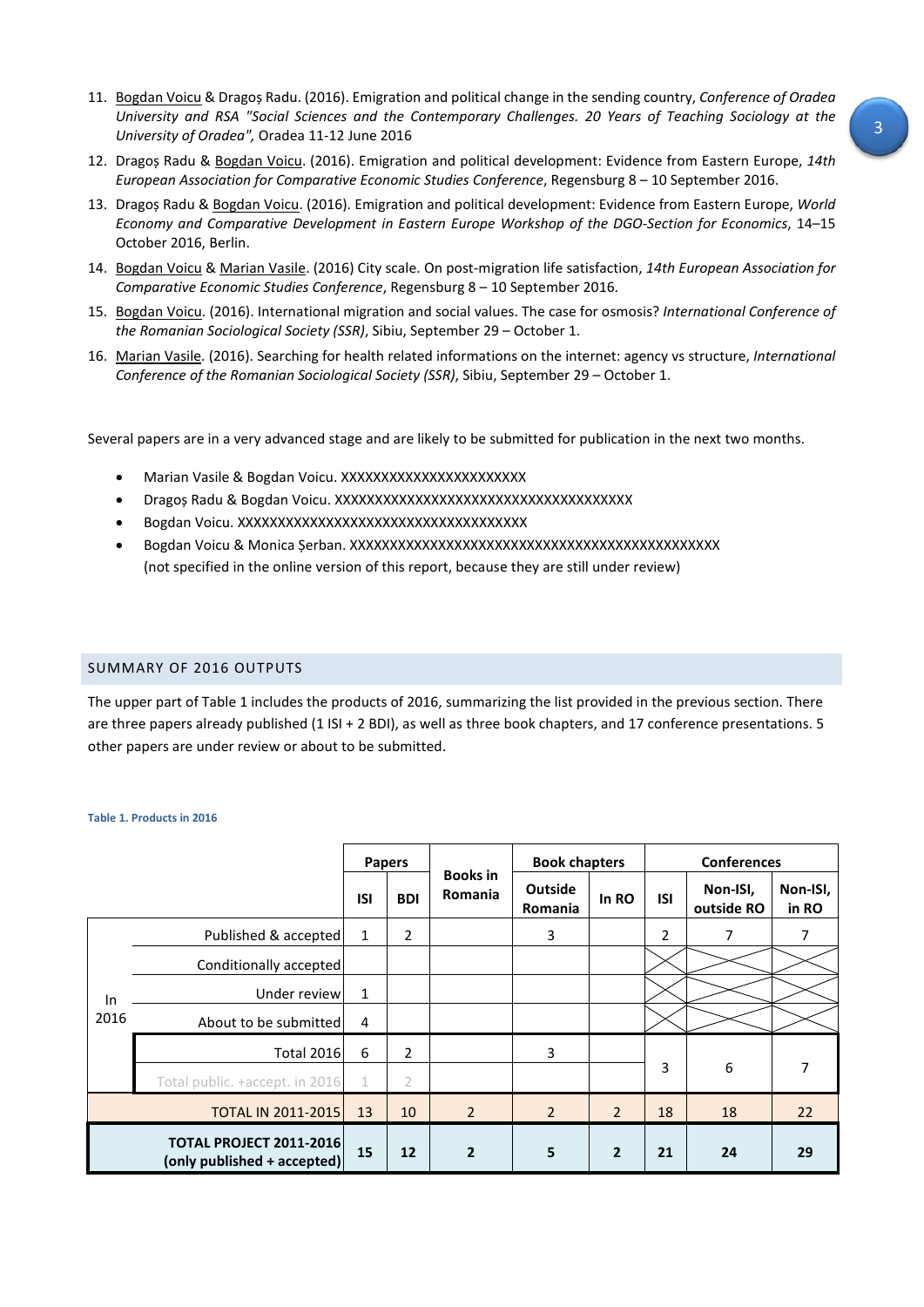- 11. Bogdan Voicu & Dragoș Radu. (2016). Emigration and political change in the sending country, *Conference of Oradea University and RSA "Social Sciences and the Contemporary Challenges. 20 Years of Teaching Sociology at the University of Oradea",* Oradea 11-12 June 2016
- 12. Dragoș Radu & Bogdan Voicu. (2016). Emigration and political development: Evidence from Eastern Europe, *14th European Association for Comparative Economic Studies Conference*, Regensburg 8 – 10 September 2016.
- 13. Dragoș Radu & Bogdan Voicu. (2016). Emigration and political development: Evidence from Eastern Europe, *World Economy and Comparative Development in Eastern Europe Workshop of the DGO-Section for Economics*, 14–15 October 2016, Berlin.
- 14. Bogdan Voicu & Marian Vasile. (2016) City scale. On post-migration life satisfaction, *14th European Association for Comparative Economic Studies Conference*, Regensburg 8 – 10 September 2016.
- 15. Bogdan Voicu. (2016). International migration and social values. The case for osmosis? *International Conference of the Romanian Sociological Society (SSR)*, Sibiu, September 29 – October 1.
- 16. Marian Vasile. (2016). Searching for health related informations on the internet: agency vs structure, *International Conference of the Romanian Sociological Society (SSR)*, Sibiu, September 29 – October 1.

Several papers are in a very advanced stage and are likely to be submitted for publication in the next two months.

- Marian Vasile & Bogdan Voicu. XXXXXXXXXXXXXXXXXXXXXXX
- Dragoș Radu & Bogdan Voicu. XXXXXXXXXXXXXXXXXXXXXXXXXXXXXXXXXXXXX
- Bogdan Voicu. XXXXXXXXXXXXXXXXXXXXXXXXXXXXXXXXXXXX
- Bogdan Voicu & Monica Șerban. XXXXXXXXXXXXXXXXXXXXXXXXXXXXXXXXXXXXXXXXXXXXXX (not specified in the online version of this report, because they are still under review)

## SUMMARY OF 2016 OUTPUTS

The upper part of [Table 1](#page-2-0) includes the products of 2016, summarizing the list provided in the previous section. There are three papers already published (1 ISI + 2 BDI), as well as three book chapters, and 17 conference presentations. 5 other papers are under review or about to be submitted.

|                                                               |                                | <b>Papers</b> |                |                                   | <b>Book chapters</b>             |                | <b>Conferences</b> |                        |                   |
|---------------------------------------------------------------|--------------------------------|---------------|----------------|-----------------------------------|----------------------------------|----------------|--------------------|------------------------|-------------------|
|                                                               |                                | ISI           | <b>BDI</b>     | <b>Books</b> in<br><b>Romania</b> | <b>Outside</b><br><b>Romania</b> | In RO          | <b>ISI</b>         | Non-ISI,<br>outside RO | Non-ISI,<br>in RO |
| In<br>2016                                                    | Published & accepted           | 1             | $\overline{2}$ |                                   | 3                                |                | $\overline{2}$     | 7                      | 7                 |
|                                                               | Conditionally accepted         |               |                |                                   |                                  |                |                    |                        |                   |
|                                                               | Under review                   | 1             |                |                                   |                                  |                |                    |                        |                   |
|                                                               | About to be submitted          | 4             |                |                                   |                                  |                |                    |                        |                   |
|                                                               | <b>Total 2016</b>              | 6             | $\overline{2}$ |                                   | 3                                |                |                    |                        |                   |
|                                                               | Total public. +accept. in 2016 | 1             | 2              |                                   |                                  |                | 3                  | 6                      | 7                 |
| <b>TOTAL IN 2011-2015</b>                                     |                                | 13            | 10             | $\overline{2}$                    | $\overline{2}$                   | $\overline{2}$ | 18                 | 18                     | 22                |
| <b>TOTAL PROJECT 2011-2016</b><br>(only published + accepted) |                                | 15            | 12             | $\overline{2}$                    | 5                                | $\overline{2}$ | 21                 | 24                     | 29                |

#### <span id="page-2-0"></span>**Table 1. Products in 2016**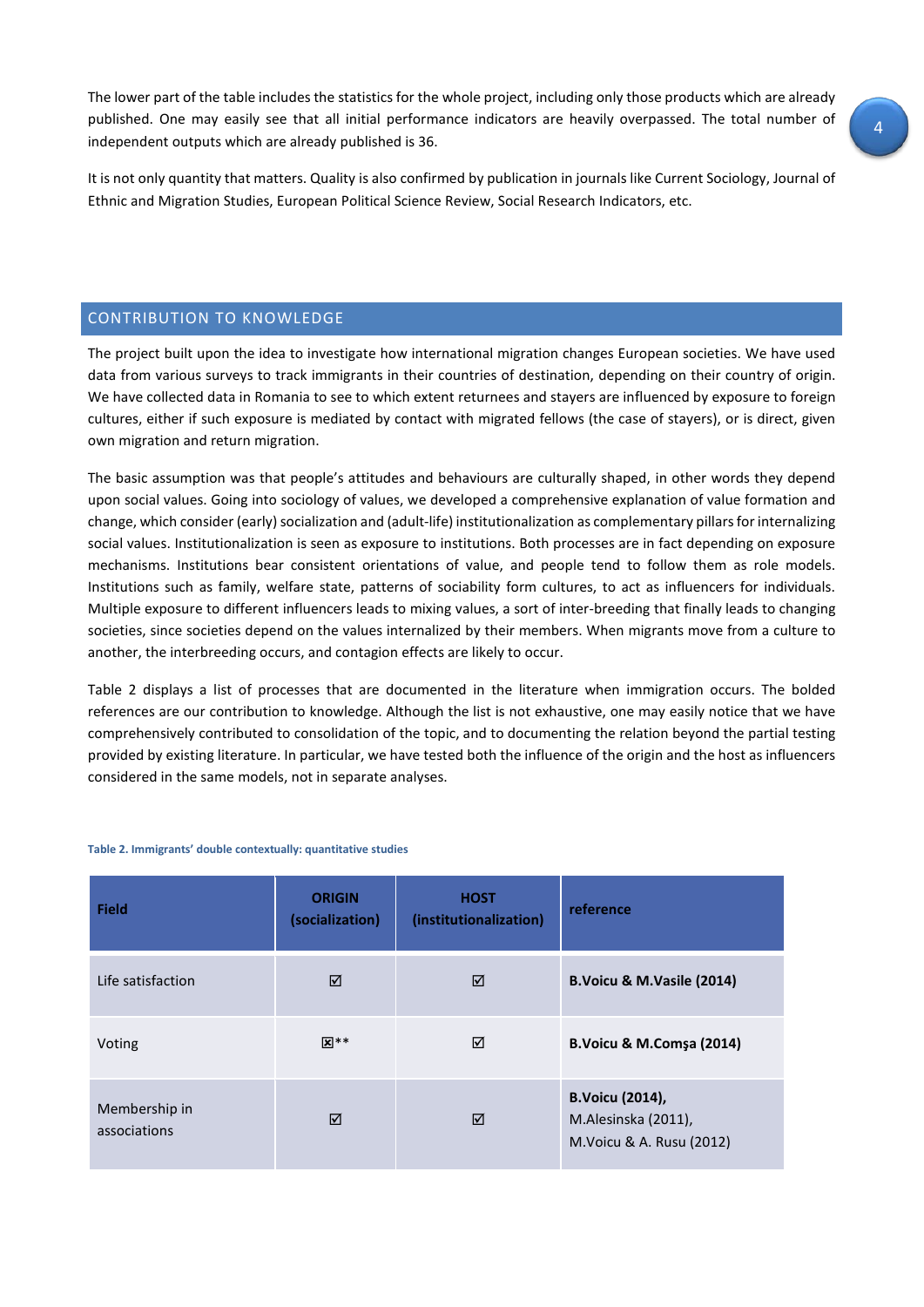The lower part of the table includes the statistics for the whole project, including only those products which are already published. One may easily see that all initial performance indicators are heavily overpassed. The total number of independent outputs which are already published is 36.

It is not only quantity that matters. Quality is also confirmed by publication in journals like Current Sociology, Journal of Ethnic and Migration Studies, European Political Science Review, Social Research Indicators, etc.

## CONTRIBUTION TO KNOWLEDGE

The project built upon the idea to investigate how international migration changes European societies. We have used data from various surveys to track immigrants in their countries of destination, depending on their country of origin. We have collected data in Romania to see to which extent returnees and stayers are influenced by exposure to foreign cultures, either if such exposure is mediated by contact with migrated fellows (the case of stayers), or is direct, given own migration and return migration.

The basic assumption was that people's attitudes and behaviours are culturally shaped, in other words they depend upon social values. Going into sociology of values, we developed a comprehensive explanation of value formation and change, which consider (early) socialization and (adult-life) institutionalization as complementary pillars for internalizing social values. Institutionalization is seen as exposure to institutions. Both processes are in fact depending on exposure mechanisms. Institutions bear consistent orientations of value, and people tend to follow them as role models. Institutions such as family, welfare state, patterns of sociability form cultures, to act as influencers for individuals. Multiple exposure to different influencers leads to mixing values, a sort of inter-breeding that finally leads to changing societies, since societies depend on the values internalized by their members. When migrants move from a culture to another, the interbreeding occurs, and contagion effects are likely to occur.

[Table 2](#page-3-0) displays a list of processes that are documented in the literature when immigration occurs. The bolded references are our contribution to knowledge. Although the list is not exhaustive, one may easily notice that we have comprehensively contributed to consolidation of the topic, and to documenting the relation beyond the partial testing provided by existing literature. In particular, we have tested both the influence of the origin and the host as influencers considered in the same models, not in separate analyses.

| <b>Field</b>                  | <b>ORIGIN</b><br>(socialization) | <b>HOST</b><br>(institutionalization) | reference                                                                  |
|-------------------------------|----------------------------------|---------------------------------------|----------------------------------------------------------------------------|
| Life satisfaction             | ☑                                | ☑                                     | B. Voicu & M. Vasile (2014)                                                |
| Voting                        | $\overline{\mathbf{x}}$ **       | ☑                                     | <b>B.Voicu &amp; M.Comsa (2014)</b>                                        |
| Membership in<br>associations | ☑                                | ⊠                                     | <b>B.Voicu (2014),</b><br>M.Alesinska (2011),<br>M. Voicu & A. Rusu (2012) |

#### <span id="page-3-0"></span>**Table 2. Immigrants' double contextually: quantitative studies**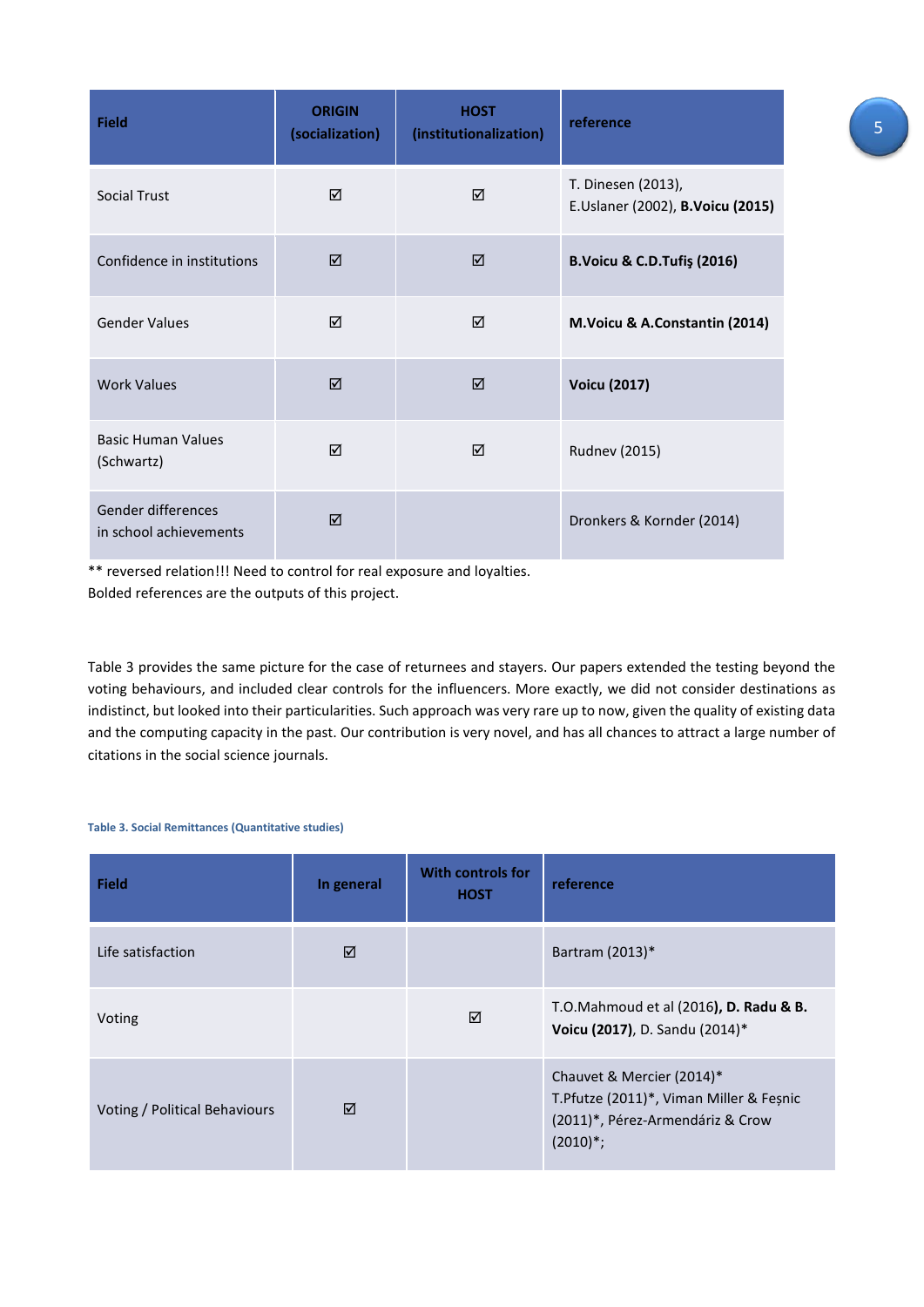| <b>Field</b>                                 | <b>ORIGIN</b><br>(socialization) | <b>HOST</b><br>(institutionalization) | reference                                              |
|----------------------------------------------|----------------------------------|---------------------------------------|--------------------------------------------------------|
| Social Trust                                 | ☑                                | ☑                                     | T. Dinesen (2013),<br>E.Uslaner (2002), B.Voicu (2015) |
| Confidence in institutions                   | ☑                                | ☑                                     | <b>B.Voicu &amp; C.D.Tufiş (2016)</b>                  |
| <b>Gender Values</b>                         | ☑                                | ☑                                     | M.Voicu & A.Constantin (2014)                          |
| <b>Work Values</b>                           | ☑                                | ☑                                     | <b>Voicu (2017)</b>                                    |
| <b>Basic Human Values</b><br>(Schwartz)      | ☑                                | ⊠                                     | <b>Rudnev (2015)</b>                                   |
| Gender differences<br>in school achievements | ☑                                |                                       | Dronkers & Kornder (2014)                              |

\*\* reversed relation!!! Need to control for real exposure and loyalties. Bolded references are the outputs of this project.

[Table 3](#page-4-0) provides the same picture for the case of returnees and stayers. Our papers extended the testing beyond the voting behaviours, and included clear controls for the influencers. More exactly, we did not consider destinations as indistinct, but looked into their particularities. Such approach was very rare up to now, given the quality of existing data and the computing capacity in the past. Our contribution is very novel, and has all chances to attract a large number of citations in the social science journals.

#### <span id="page-4-0"></span>**Table 3. Social Remittances (Quantitative studies)**

| <b>Field</b>                  | In general | <b>With controls for</b><br><b>HOST</b> | reference                                                                                                                   |
|-------------------------------|------------|-----------------------------------------|-----------------------------------------------------------------------------------------------------------------------------|
| Life satisfaction             | ☑          |                                         | Bartram (2013)*                                                                                                             |
| Voting                        |            | ☑                                       | T.O.Mahmoud et al (2016), D. Radu & B.<br>Voicu (2017), D. Sandu (2014)*                                                    |
| Voting / Political Behaviours | ☑          |                                         | Chauvet & Mercier (2014)*<br>T. Pfutze (2011)*, Viman Miller & Feșnic<br>(2011)*, Pérez-Armendáriz & Crow<br>$(2010)^{*}$ ; |